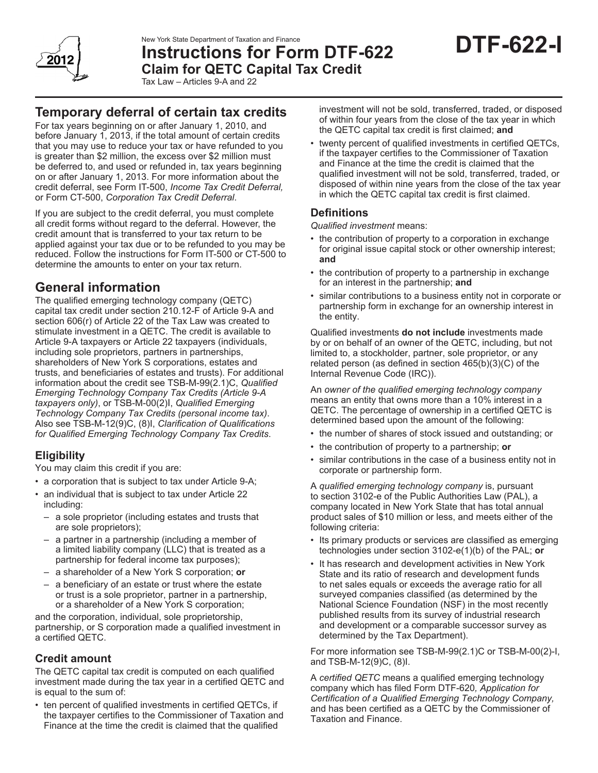

New York State Department of Taxation and Finance

# **Instructions for Form DTF-622 Claim for QETC Capital Tax Credit**



Tax Law – Articles 9-A and 22

## **Temporary deferral of certain tax credits**

For tax years beginning on or after January 1, 2010, and before January 1, 2013, if the total amount of certain credits that you may use to reduce your tax or have refunded to you is greater than \$2 million, the excess over \$2 million must be deferred to, and used or refunded in, tax years beginning on or after January 1, 2013. For more information about the credit deferral, see Form IT-500, *Income Tax Credit Deferral,*  or Form CT-500, *Corporation Tax Credit Deferral*.

If you are subject to the credit deferral, you must complete all credit forms without regard to the deferral. However, the credit amount that is transferred to your tax return to be applied against your tax due or to be refunded to you may be reduced. Follow the instructions for Form IT-500 or CT-500 to determine the amounts to enter on your tax return.

## **General information**

The qualified emerging technology company (QETC) capital tax credit under section 210.12-F of Article 9-A and section 606(r) of Article 22 of the Tax Law was created to stimulate investment in a QETC. The credit is available to Article 9-A taxpayers or Article 22 taxpayers (individuals, including sole proprietors, partners in partnerships, shareholders of New York S corporations, estates and trusts, and beneficiaries of estates and trusts). For additional information about the credit see TSB‑M‑99(2.1)C, *Qualified Emerging Technology Company Tax Credits (Article 9-A taxpayers only)*, or TSB-M-00(2)I, *Qualified Emerging Technology Company Tax Credits (personal income tax)*. Also see TSB-M-12(9)C, (8)I, *Clarification of Qualifications for Qualified Emerging Technology Company Tax Credits*.

## **Eligibility**

You may claim this credit if you are:

- a corporation that is subject to tax under Article 9-A;
- an individual that is subject to tax under Article 22 including:
	- a sole proprietor (including estates and trusts that are sole proprietors);
	- a partner in a partnership (including a member of a limited liability company (LLC) that is treated as a partnership for federal income tax purposes);
	- a shareholder of a New York S corporation; **or**
	- a beneficiary of an estate or trust where the estate or trust is a sole proprietor, partner in a partnership, or a shareholder of a New York S corporation;

and the corporation, individual, sole proprietorship, partnership, or S corporation made a qualified investment in a certified QETC.

## **Credit amount**

The QETC capital tax credit is computed on each qualified investment made during the tax year in a certified QETC and is equal to the sum of:

• ten percent of qualified investments in certified QETCs, if the taxpayer certifies to the Commissioner of Taxation and Finance at the time the credit is claimed that the qualified

investment will not be sold, transferred, traded, or disposed of within four years from the close of the tax year in which the QETC capital tax credit is first claimed; **and**

twenty percent of qualified investments in certified QETCs, if the taxpayer certifies to the Commissioner of Taxation and Finance at the time the credit is claimed that the qualified investment will not be sold, transferred, traded, or disposed of within nine years from the close of the tax year in which the QETC capital tax credit is first claimed.

## **Definitions**

*Qualified investment* means:

- the contribution of property to a corporation in exchange for original issue capital stock or other ownership interest; **and**
- the contribution of property to a partnership in exchange for an interest in the partnership; **and**
- similar contributions to a business entity not in corporate or partnership form in exchange for an ownership interest in the entity.

Qualified investments **do not include** investments made by or on behalf of an owner of the QETC, including, but not limited to, a stockholder, partner, sole proprietor, or any related person (as defined in section 465(b)(3)(C) of the Internal Revenue Code (IRC)).

An *owner of the qualified emerging technology company* means an entity that owns more than a 10% interest in a QETC. The percentage of ownership in a certified QETC is determined based upon the amount of the following:

- the number of shares of stock issued and outstanding; or
- the contribution of property to a partnership; **or**
- similar contributions in the case of a business entity not in corporate or partnership form.

A *qualified emerging technology company* is, pursuant to section 3102-e of the Public Authorities Law (PAL), a company located in New York State that has total annual product sales of \$10 million or less, and meets either of the following criteria:

- Its primary products or services are classified as emerging technologies under section 3102-e(1)(b) of the PAL; **or**
- It has research and development activities in New York State and its ratio of research and development funds to net sales equals or exceeds the average ratio for all surveyed companies classified (as determined by the National Science Foundation (NSF) in the most recently published results from its survey of industrial research and development or a comparable successor survey as determined by the Tax Department).

For more information see TSB-M-99(2.1)C or TSB-M-00(2)-I, and TSB-M-12(9)C, (8)I.

A *certified QETC* means a qualified emerging technology company which has filed Form DTF-620*, Application for Certification of a Qualified Emerging Technology Company,* and has been certified as a QETC by the Commissioner of Taxation and Finance.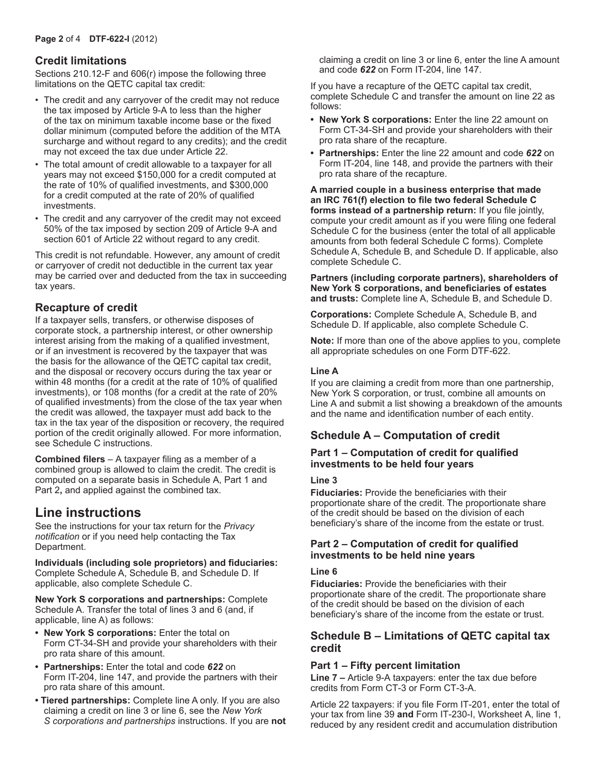### **Credit limitations**

Sections 210.12-F and 606(r) impose the following three limitations on the QETC capital tax credit:

- The credit and any carryover of the credit may not reduce the tax imposed by Article 9-A to less than the higher of the tax on minimum taxable income base or the fixed dollar minimum (computed before the addition of the MTA surcharge and without regard to any credits); and the credit may not exceed the tax due under Article 22.
- The total amount of credit allowable to a taxpayer for all years may not exceed \$150,000 for a credit computed at the rate of 10% of qualified investments, and \$300,000 for a credit computed at the rate of 20% of qualified investments.
- The credit and any carryover of the credit may not exceed 50% of the tax imposed by section 209 of Article 9-A and section 601 of Article 22 without regard to any credit.

This credit is not refundable. However, any amount of credit or carryover of credit not deductible in the current tax year may be carried over and deducted from the tax in succeeding tax years.

## **Recapture of credit**

If a taxpayer sells, transfers, or otherwise disposes of corporate stock, a partnership interest, or other ownership interest arising from the making of a qualified investment, or if an investment is recovered by the taxpayer that was the basis for the allowance of the QETC capital tax credit, and the disposal or recovery occurs during the tax year or within 48 months (for a credit at the rate of 10% of qualified investments), or 108 months (for a credit at the rate of 20% of qualified investments) from the close of the tax year when the credit was allowed, the taxpayer must add back to the tax in the tax year of the disposition or recovery, the required portion of the credit originally allowed. For more information, see Schedule C instructions.

**Combined filers** – A taxpayer filing as a member of a combined group is allowed to claim the credit. The credit is computed on a separate basis in Schedule A, Part 1 and Part 2**,** and applied against the combined tax.

## **Line instructions**

See the instructions for your tax return for the *Privacy notification* or if you need help contacting the Tax Department.

**Individuals (including sole proprietors) and fiduciaries:** Complete Schedule A, Schedule B, and Schedule D. If applicable, also complete Schedule C.

**New York S corporations and partnerships:** Complete Schedule A. Transfer the total of lines 3 and 6 (and, if applicable, line A) as follows:

- **• New York S corporations:** Enter the total on Form CT-34-SH and provide your shareholders with their pro rata share of this amount.
- **• Partnerships:** Enter the total and code *622* on Form IT-204, line 147, and provide the partners with their pro rata share of this amount.
- **Tiered partnerships:** Complete line A only. If you are also claiming a credit on line 3 or line 6, see the *New York S corporations and partnerships* instructions. If you are **not**

claiming a credit on line 3 or line 6, enter the line A amount and code *622* on Form IT-204, line 147.

If you have a recapture of the QETC capital tax credit, complete Schedule C and transfer the amount on line 22 as follows:

- **• New York S corporations:** Enter the line 22 amount on Form CT-34-SH and provide your shareholders with their pro rata share of the recapture.
- **• Partnerships:** Enter the line 22 amount and code *622* on Form IT-204, line 148, and provide the partners with their pro rata share of the recapture.

**A married couple in a business enterprise that made an IRC 761(f) election to file two federal Schedule C forms instead of a partnership return:** If you file jointly, compute your credit amount as if you were filing one federal Schedule C for the business (enter the total of all applicable amounts from both federal Schedule C forms). Complete Schedule A, Schedule B, and Schedule D. If applicable, also complete Schedule C.

**Partners (including corporate partners), shareholders of New York S corporations, and beneficiaries of estates and trusts:** Complete line A, Schedule B, and Schedule D.

**Corporations:** Complete Schedule A, Schedule B, and Schedule D. If applicable, also complete Schedule C.

**Note:** If more than one of the above applies to you, complete all appropriate schedules on one Form DTF-622.

#### **Line A**

If you are claiming a credit from more than one partnership, New York S corporation, or trust, combine all amounts on Line A and submit a list showing a breakdown of the amounts and the name and identification number of each entity.

## **Schedule A – Computation of credit**

#### **Part 1 – Computation of credit for qualified investments to be held four years**

#### **Line 3**

**Fiduciaries:** Provide the beneficiaries with their proportionate share of the credit. The proportionate share of the credit should be based on the division of each beneficiary's share of the income from the estate or trust.

#### **Part 2 – Computation of credit for qualified investments to be held nine years**

#### **Line 6**

**Fiduciaries:** Provide the beneficiaries with their proportionate share of the credit. The proportionate share of the credit should be based on the division of each beneficiary's share of the income from the estate or trust.

#### **Schedule B – Limitations of QETC capital tax credit**

#### **Part 1 – Fifty percent limitation**

**Line 7 –** Article 9-A taxpayers: enter the tax due before credits from Form CT-3 or Form CT-3-A.

Article 22 taxpayers: if you file Form IT‑201, enter the total of your tax from line 39 **and** Form IT-230-I, Worksheet A, line 1, reduced by any resident credit and accumulation distribution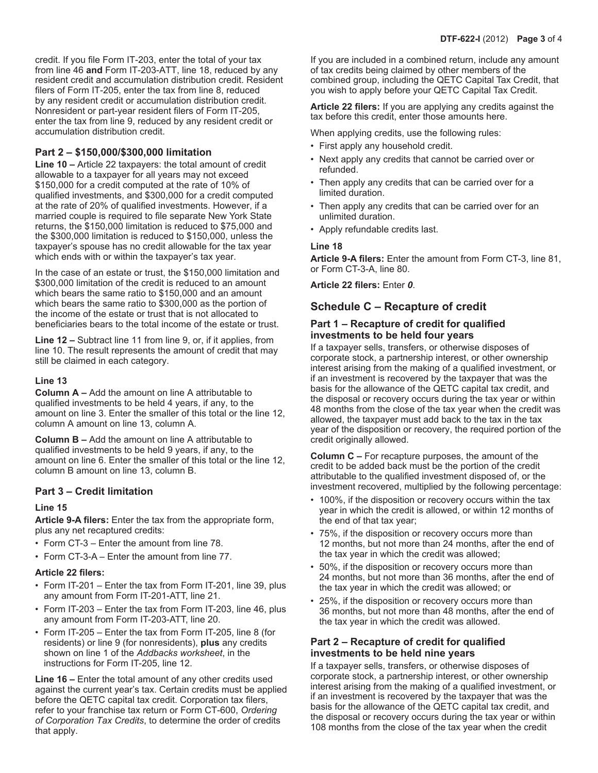credit. If you file Form IT‑203, enter the total of your tax from line 46 **and** Form IT‑203‑ATT, line 18, reduced by any resident credit and accumulation distribution credit. Resident filers of Form IT‑205, enter the tax from line 8, reduced by any resident credit or accumulation distribution credit. Nonresident or part-year resident filers of Form IT‑205, enter the tax from line 9, reduced by any resident credit or accumulation distribution credit.

#### **Part 2 – \$150,000/\$300,000 limitation**

**Line 10 –** Article 22 taxpayers: the total amount of credit allowable to a taxpayer for all years may not exceed \$150,000 for a credit computed at the rate of 10% of qualified investments, and \$300,000 for a credit computed at the rate of 20% of qualified investments. However, if a married couple is required to file separate New York State returns, the \$150,000 limitation is reduced to \$75,000 and the \$300,000 limitation is reduced to \$150,000, unless the taxpayer's spouse has no credit allowable for the tax year which ends with or within the taxpayer's tax year.

In the case of an estate or trust, the \$150,000 limitation and \$300,000 limitation of the credit is reduced to an amount which bears the same ratio to \$150,000 and an amount which bears the same ratio to \$300,000 as the portion of the income of the estate or trust that is not allocated to beneficiaries bears to the total income of the estate or trust.

**Line 12 –** Subtract line 11 from line 9, or, if it applies, from line 10. The result represents the amount of credit that may still be claimed in each category.

#### **Line 13**

**Column A –** Add the amount on line A attributable to qualified investments to be held 4 years, if any, to the amount on line 3. Enter the smaller of this total or the line 12, column A amount on line 13, column A.

**Column B –** Add the amount on line A attributable to qualified investments to be held 9 years, if any, to the amount on line 6. Enter the smaller of this total or the line 12, column B amount on line 13, column B.

#### **Part 3 – Credit limitation**

#### **Line 15**

**Article 9-A filers:** Enter the tax from the appropriate form, plus any net recaptured credits:

- Form CT-3 Enter the amount from line 78.
- Form CT-3-A Enter the amount from line 77.

#### **Article 22 filers:**

- Form IT-201 Enter the tax from Form IT-201, line 39, plus any amount from Form IT-201-ATT, line 21.
- Form IT-203 Enter the tax from Form IT-203, line 46, plus any amount from Form IT-203-ATT, line 20.
- Form IT-205 Enter the tax from Form IT-205, line 8 (for residents) or line 9 (for nonresidents), **plus** any credits shown on line 1 of the *Addbacks worksheet*, in the instructions for Form IT-205, line 12.

**Line 16 –** Enter the total amount of any other credits used against the current year's tax. Certain credits must be applied before the QETC capital tax credit. Corporation tax filers, refer to your franchise tax return or Form CT-600, *Ordering of Corporation Tax Credits*, to determine the order of credits that apply.

If you are included in a combined return, include any amount of tax credits being claimed by other members of the combined group, including the QETC Capital Tax Credit, that you wish to apply before your QETC Capital Tax Credit.

**Article 22 filers:** If you are applying any credits against the tax before this credit, enter those amounts here.

When applying credits, use the following rules:

- First apply any household credit.
- Next apply any credits that cannot be carried over or refunded.
- Then apply any credits that can be carried over for a limited duration.
- Then apply any credits that can be carried over for an unlimited duration.
- Apply refundable credits last.

#### **Line 18**

**Article 9-A filers:** Enter the amount from Form CT-3, line 81, or Form CT-3-A, line 80.

**Article 22 filers:** Enter *0*.

### **Schedule C – Recapture of credit**

#### **Part 1 – Recapture of credit for qualified investments to be held four years**

If a taxpayer sells, transfers, or otherwise disposes of corporate stock, a partnership interest, or other ownership interest arising from the making of a qualified investment, or if an investment is recovered by the taxpayer that was the basis for the allowance of the QETC capital tax credit, and the disposal or recovery occurs during the tax year or within 48 months from the close of the tax year when the credit was allowed, the taxpayer must add back to the tax in the tax year of the disposition or recovery, the required portion of the credit originally allowed.

**Column C –** For recapture purposes, the amount of the credit to be added back must be the portion of the credit attributable to the qualified investment disposed of, or the investment recovered, multiplied by the following percentage:

- 100%, if the disposition or recovery occurs within the tax year in which the credit is allowed, or within 12 months of the end of that tax year;
- 75%, if the disposition or recovery occurs more than 12 months, but not more than 24 months, after the end of the tax year in which the credit was allowed;
- 50%, if the disposition or recovery occurs more than 24 months, but not more than 36 months, after the end of the tax year in which the credit was allowed; or
- 25%, if the disposition or recovery occurs more than 36 months, but not more than 48 months, after the end of the tax year in which the credit was allowed.

#### **Part 2 – Recapture of credit for qualified investments to be held nine years**

If a taxpayer sells, transfers, or otherwise disposes of corporate stock, a partnership interest, or other ownership interest arising from the making of a qualified investment, or if an investment is recovered by the taxpayer that was the basis for the allowance of the QETC capital tax credit, and the disposal or recovery occurs during the tax year or within 108 months from the close of the tax year when the credit